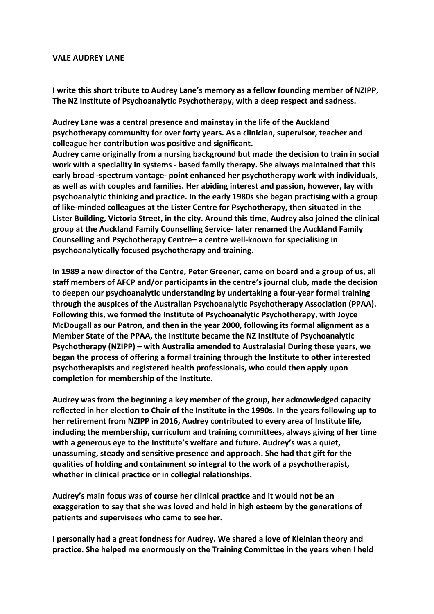## **VALE AUDREY LANE**

**I** write this short tribute to Audrey Lane's memory as a fellow founding member of NZIPP, The NZ Institute of Psychoanalytic Psychotherapy, with a deep respect and sadness.

Audrey Lane was a central presence and mainstay in the life of the Auckland **psychotherapy community for over forty years. As a clinician, supervisor, teacher and** colleague her contribution was positive and significant.

Audrey came originally from a nursing background but made the decision to train in social work with a speciality in systems - based family therapy. She always maintained that this **early** broad -spectrum vantage- point enhanced her psychotherapy work with individuals, as well as with couples and families. Her abiding interest and passion, however, lay with **psychoanalytic thinking and practice. In the early 1980s she began practising with a group** of like-minded colleagues at the Lister Centre for Psychotherapy, then situated in the Lister Building, Victoria Street, in the city. Around this time, Audrey also joined the clinical group at the Auckland Family Counselling Service- later renamed the Auckland Family **Counselling and Psychotherapy Centre–** a centre well-known for specialising in psychoanalytically focused psychotherapy and training.

In 1989 a new director of the Centre, Peter Greener, came on board and a group of us, all staff members of AFCP and/or participants in the centre's journal club, made the decision to deepen our psychoanalytic understanding by undertaking a four-year formal training **through the auspices of the Australian Psychoanalytic Psychotherapy Association (PPAA).** Following this, we formed the Institute of Psychoanalytic Psychotherapy, with Joyce **McDougall as our Patron, and then in the year 2000, following its formal alignment as a Member State of the PPAA, the Institute became the NZ Institute of Psychoanalytic Psychotherapy (NZIPP)** – with Australia amended to Australasia! During these years, we **began the process of offering a formal training through the Institute to other interested psychotherapists and registered health professionals, who could then apply upon completion for membership of the Institute.**

Audrey was from the beginning a key member of the group, her acknowledged capacity reflected in her election to Chair of the Institute in the 1990s. In the years following up to **her retirement from NZIPP in 2016, Audrey contributed to every area of Institute life,** including the membership, curriculum and training committees, always giving of her time with a generous eye to the Institute's welfare and future. Audrey's was a quiet, **unassuming, steady and sensitive presence and approach. She had that gift for the** qualities of holding and containment so integral to the work of a psychotherapist, **whether in clinical practice or in collegial relationships.** 

Audrey's main focus was of course her clinical practice and it would not be an exaggeration to say that she was loved and held in high esteem by the generations of **patients and supervisees who came to see her.** 

**I** personally had a great fondness for Audrey. We shared a love of Kleinian theory and practice. She helped me enormously on the Training Committee in the years when I held